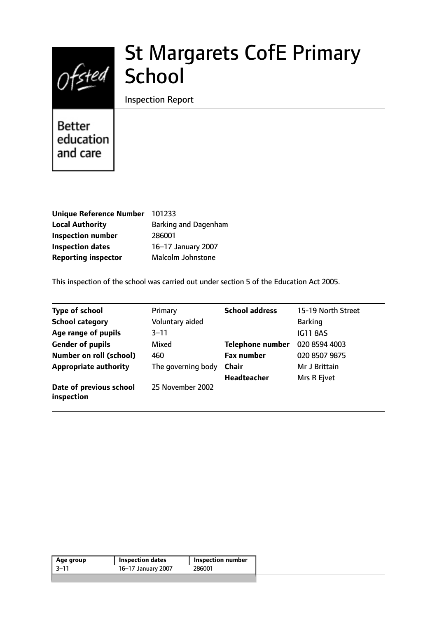

# St Margarets CofE Primary School

Inspection Report

Better education and care

| 101233                      |
|-----------------------------|
| <b>Barking and Dagenham</b> |
| 286001                      |
| 16-17 January 2007          |
| Malcolm Johnstone           |
|                             |

This inspection of the school was carried out under section 5 of the Education Act 2005.

| <b>Type of school</b>                 | Primary            | <b>School address</b>   | 15-19 North Street |
|---------------------------------------|--------------------|-------------------------|--------------------|
| <b>School category</b>                | Voluntary aided    |                         | <b>Barking</b>     |
| Age range of pupils                   | $3 - 11$           |                         | <b>IG11 8AS</b>    |
| <b>Gender of pupils</b>               | Mixed              | <b>Telephone number</b> | 020 8594 4003      |
| <b>Number on roll (school)</b>        | 460                | <b>Fax number</b>       | 020 8507 9875      |
| <b>Appropriate authority</b>          | The governing body | <b>Chair</b>            | Mr J Brittain      |
|                                       |                    | <b>Headteacher</b>      | Mrs R Ejvet        |
| Date of previous school<br>inspection | 25 November 2002   |                         |                    |

| $-3-11$<br>286001<br>16-17 January 2007 | Age group | <b>Inspection dates</b> | <b>Inspection number</b> |  |
|-----------------------------------------|-----------|-------------------------|--------------------------|--|
|                                         |           |                         |                          |  |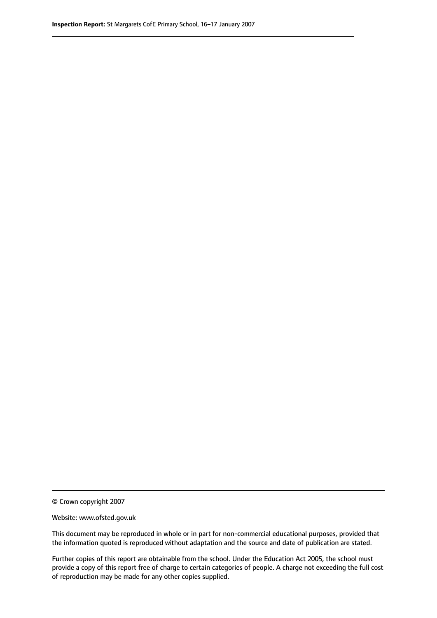© Crown copyright 2007

Website: www.ofsted.gov.uk

This document may be reproduced in whole or in part for non-commercial educational purposes, provided that the information quoted is reproduced without adaptation and the source and date of publication are stated.

Further copies of this report are obtainable from the school. Under the Education Act 2005, the school must provide a copy of this report free of charge to certain categories of people. A charge not exceeding the full cost of reproduction may be made for any other copies supplied.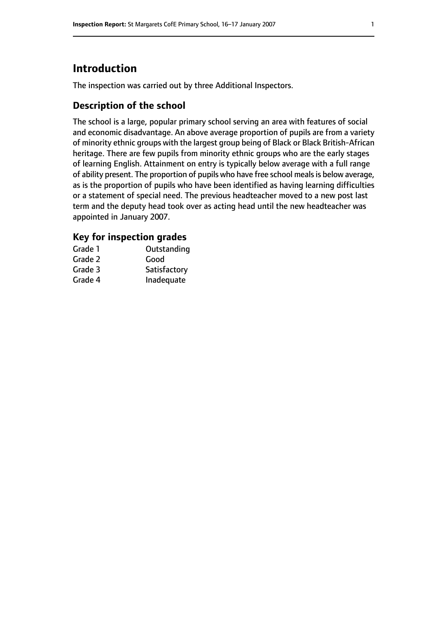# **Introduction**

The inspection was carried out by three Additional Inspectors.

## **Description of the school**

The school is a large, popular primary school serving an area with features of social and economic disadvantage. An above average proportion of pupils are from a variety of minority ethnic groups with the largest group being of Black or Black British-African heritage. There are few pupils from minority ethnic groups who are the early stages of learning English. Attainment on entry is typically below average with a full range of ability present. The proportion of pupils who have free school meals is below average, as is the proportion of pupils who have been identified as having learning difficulties or a statement of special need. The previous headteacher moved to a new post last term and the deputy head took over as acting head until the new headteacher was appointed in January 2007.

## **Key for inspection grades**

| Grade 1 | Outstanding  |
|---------|--------------|
| Grade 2 | Good         |
| Grade 3 | Satisfactory |
| Grade 4 | Inadequate   |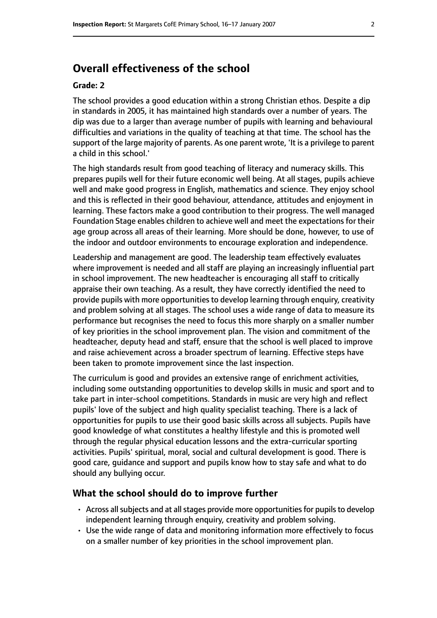# **Overall effectiveness of the school**

#### **Grade: 2**

The school provides a good education within a strong Christian ethos. Despite a dip in standards in 2005, it has maintained high standards over a number of years. The dip was due to a larger than average number of pupils with learning and behavioural difficulties and variations in the quality of teaching at that time. The school has the support of the large majority of parents. As one parent wrote, 'It is a privilege to parent a child in this school.'

The high standards result from good teaching of literacy and numeracy skills. This prepares pupils well for their future economic well being. At all stages, pupils achieve well and make good progress in English, mathematics and science. They enjoy school and this is reflected in their good behaviour, attendance, attitudes and enjoyment in learning. These factors make a good contribution to their progress. The well managed Foundation Stage enables children to achieve well and meet the expectations for their age group across all areas of their learning. More should be done, however, to use of the indoor and outdoor environments to encourage exploration and independence.

Leadership and management are good. The leadership team effectively evaluates where improvement is needed and all staff are playing an increasingly influential part in school improvement. The new headteacher is encouraging all staff to critically appraise their own teaching. As a result, they have correctly identified the need to provide pupils with more opportunities to develop learning through enquiry, creativity and problem solving at all stages. The school uses a wide range of data to measure its performance but recognises the need to focus this more sharply on a smaller number of key priorities in the school improvement plan. The vision and commitment of the headteacher, deputy head and staff, ensure that the school is well placed to improve and raise achievement across a broader spectrum of learning. Effective steps have been taken to promote improvement since the last inspection.

The curriculum is good and provides an extensive range of enrichment activities, including some outstanding opportunities to develop skills in music and sport and to take part in inter-school competitions. Standards in music are very high and reflect pupils' love of the subject and high quality specialist teaching. There is a lack of opportunities for pupils to use their good basic skills across all subjects. Pupils have good knowledge of what constitutes a healthy lifestyle and this is promoted well through the regular physical education lessons and the extra-curricular sporting activities. Pupils' spiritual, moral, social and cultural development is good. There is good care, guidance and support and pupils know how to stay safe and what to do should any bullying occur.

#### **What the school should do to improve further**

- Across all subjects and at all stages provide more opportunities for pupils to develop independent learning through enquiry, creativity and problem solving.
- Use the wide range of data and monitoring information more effectively to focus on a smaller number of key priorities in the school improvement plan.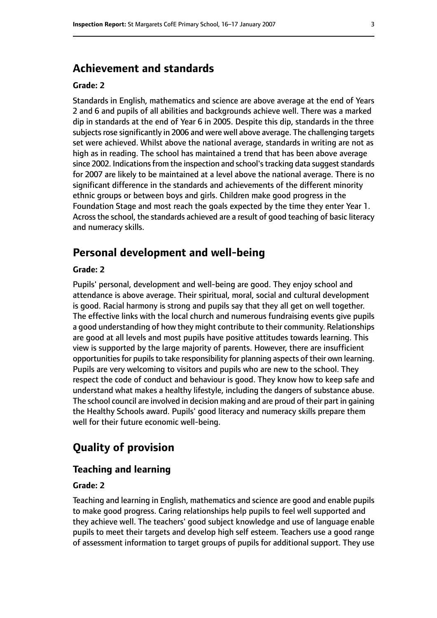# **Achievement and standards**

#### **Grade: 2**

Standards in English, mathematics and science are above average at the end of Years 2 and 6 and pupils of all abilities and backgrounds achieve well. There was a marked dip in standards at the end of Year 6 in 2005. Despite this dip, standards in the three subjects rose significantly in 2006 and were well above average. The challenging targets set were achieved. Whilst above the national average, standards in writing are not as high as in reading. The school has maintained a trend that has been above average since 2002. Indications from the inspection and school's tracking data suggest standards for 2007 are likely to be maintained at a level above the national average. There is no significant difference in the standards and achievements of the different minority ethnic groups or between boys and girls. Children make good progress in the Foundation Stage and most reach the goals expected by the time they enter Year 1. Acrossthe school, the standards achieved are a result of good teaching of basic literacy and numeracy skills.

# **Personal development and well-being**

#### **Grade: 2**

Pupils' personal, development and well-being are good. They enjoy school and attendance is above average. Their spiritual, moral, social and cultural development is good. Racial harmony is strong and pupils say that they all get on well together. The effective links with the local church and numerous fundraising events give pupils a good understanding of how they might contribute to their community. Relationships are good at all levels and most pupils have positive attitudes towards learning. This view is supported by the large majority of parents. However, there are insufficient opportunities for pupils to take responsibility for planning aspects of their own learning. Pupils are very welcoming to visitors and pupils who are new to the school. They respect the code of conduct and behaviour is good. They know how to keep safe and understand what makes a healthy lifestyle, including the dangers of substance abuse. The school council are involved in decision making and are proud of their part in gaining the Healthy Schools award. Pupils' good literacy and numeracy skills prepare them well for their future economic well-being.

# **Quality of provision**

#### **Teaching and learning**

#### **Grade: 2**

Teaching and learning in English, mathematics and science are good and enable pupils to make good progress. Caring relationships help pupils to feel well supported and they achieve well. The teachers' good subject knowledge and use of language enable pupils to meet their targets and develop high self esteem. Teachers use a good range of assessment information to target groups of pupils for additional support. They use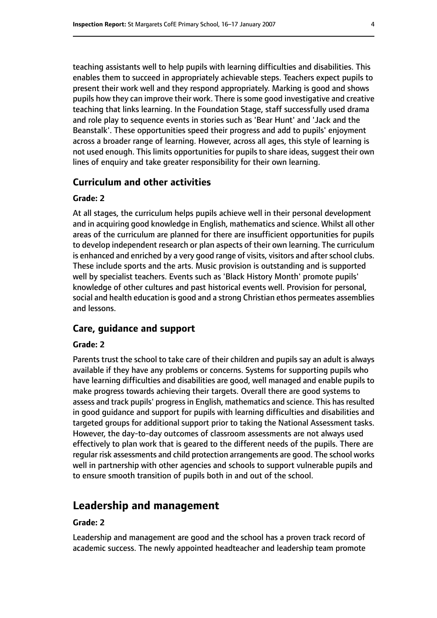teaching assistants well to help pupils with learning difficulties and disabilities. This enables them to succeed in appropriately achievable steps. Teachers expect pupils to present their work well and they respond appropriately. Marking is good and shows pupils how they can improve their work. There is some good investigative and creative teaching that links learning. In the Foundation Stage, staff successfully used drama and role play to sequence events in stories such as 'Bear Hunt' and 'Jack and the Beanstalk'. These opportunities speed their progress and add to pupils' enjoyment across a broader range of learning. However, across all ages, this style of learning is not used enough. This limits opportunities for pupils to share ideas, suggest their own lines of enquiry and take greater responsibility for their own learning.

#### **Curriculum and other activities**

#### **Grade: 2**

At all stages, the curriculum helps pupils achieve well in their personal development and in acquiring good knowledge in English, mathematics and science. Whilst all other areas of the curriculum are planned for there are insufficient opportunities for pupils to develop independent research or plan aspects of their own learning. The curriculum is enhanced and enriched by a very good range of visits, visitors and after school clubs. These include sports and the arts. Music provision is outstanding and is supported well by specialist teachers. Events such as 'Black History Month' promote pupils' knowledge of other cultures and past historical events well. Provision for personal, social and health education is good and a strong Christian ethos permeates assemblies and lessons.

#### **Care, guidance and support**

#### **Grade: 2**

Parents trust the school to take care of their children and pupils say an adult is always available if they have any problems or concerns. Systems for supporting pupils who have learning difficulties and disabilities are good, well managed and enable pupils to make progress towards achieving their targets. Overall there are good systems to assess and track pupils' progress in English, mathematics and science. This has resulted in good guidance and support for pupils with learning difficulties and disabilities and targeted groups for additional support prior to taking the National Assessment tasks. However, the day-to-day outcomes of classroom assessments are not always used effectively to plan work that is geared to the different needs of the pupils. There are regular risk assessments and child protection arrangements are good. The school works well in partnership with other agencies and schools to support vulnerable pupils and to ensure smooth transition of pupils both in and out of the school.

### **Leadership and management**

#### **Grade: 2**

Leadership and management are good and the school has a proven track record of academic success. The newly appointed headteacher and leadership team promote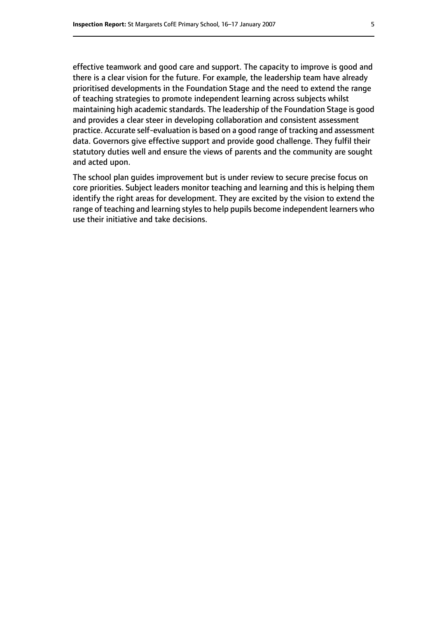effective teamwork and good care and support. The capacity to improve is good and there is a clear vision for the future. For example, the leadership team have already prioritised developments in the Foundation Stage and the need to extend the range of teaching strategies to promote independent learning across subjects whilst maintaining high academic standards. The leadership of the Foundation Stage is good and provides a clear steer in developing collaboration and consistent assessment practice. Accurate self-evaluation is based on a good range of tracking and assessment data. Governors give effective support and provide good challenge. They fulfil their statutory duties well and ensure the views of parents and the community are sought and acted upon.

The school plan guides improvement but is under review to secure precise focus on core priorities. Subject leaders monitor teaching and learning and this is helping them identify the right areas for development. They are excited by the vision to extend the range of teaching and learning styles to help pupils become independent learners who use their initiative and take decisions.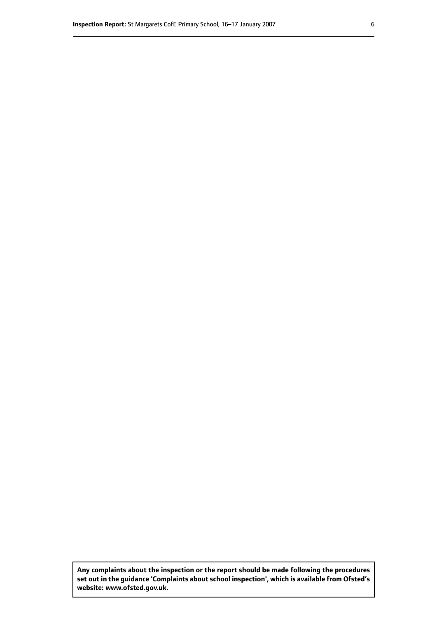**Any complaints about the inspection or the report should be made following the procedures set out inthe guidance 'Complaints about school inspection', whichis available from Ofsted's website: www.ofsted.gov.uk.**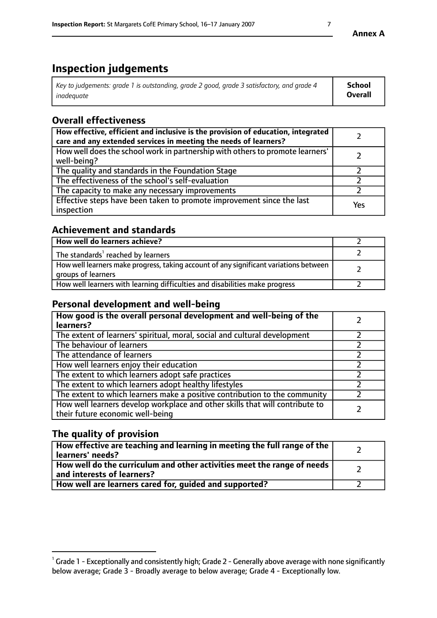# **Inspection judgements**

| Key to judgements: grade 1 is outstanding, grade 2 good, grade 3 satisfactory, and grade 4 | School         |
|--------------------------------------------------------------------------------------------|----------------|
| inadeauate                                                                                 | <b>Overall</b> |

# **Overall effectiveness**

| How effective, efficient and inclusive is the provision of education, integrated<br>care and any extended services in meeting the needs of learners? |     |
|------------------------------------------------------------------------------------------------------------------------------------------------------|-----|
| How well does the school work in partnership with others to promote learners'<br>well-being?                                                         |     |
| The quality and standards in the Foundation Stage                                                                                                    |     |
| The effectiveness of the school's self-evaluation                                                                                                    |     |
| The capacity to make any necessary improvements                                                                                                      |     |
| Effective steps have been taken to promote improvement since the last<br>inspection                                                                  | Yes |

# **Achievement and standards**

| How well do learners achieve?                                                                               |  |
|-------------------------------------------------------------------------------------------------------------|--|
| The standards <sup>1</sup> reached by learners                                                              |  |
| How well learners make progress, taking account of any significant variations between<br>groups of learners |  |
| How well learners with learning difficulties and disabilities make progress                                 |  |

# **Personal development and well-being**

| How good is the overall personal development and well-being of the<br>learners?                                  |  |
|------------------------------------------------------------------------------------------------------------------|--|
| The extent of learners' spiritual, moral, social and cultural development                                        |  |
| The behaviour of learners                                                                                        |  |
| The attendance of learners                                                                                       |  |
| How well learners enjoy their education                                                                          |  |
| The extent to which learners adopt safe practices                                                                |  |
| The extent to which learners adopt healthy lifestyles                                                            |  |
| The extent to which learners make a positive contribution to the community                                       |  |
| How well learners develop workplace and other skills that will contribute to<br>their future economic well-being |  |

# **The quality of provision**

| How effective are teaching and learning in meeting the full range of the<br>  learners' needs?                      |  |
|---------------------------------------------------------------------------------------------------------------------|--|
| $\mid$ How well do the curriculum and other activities meet the range of needs<br>$\mid$ and interests of learners? |  |
| How well are learners cared for, guided and supported?                                                              |  |

 $^1$  Grade 1 - Exceptionally and consistently high; Grade 2 - Generally above average with none significantly below average; Grade 3 - Broadly average to below average; Grade 4 - Exceptionally low.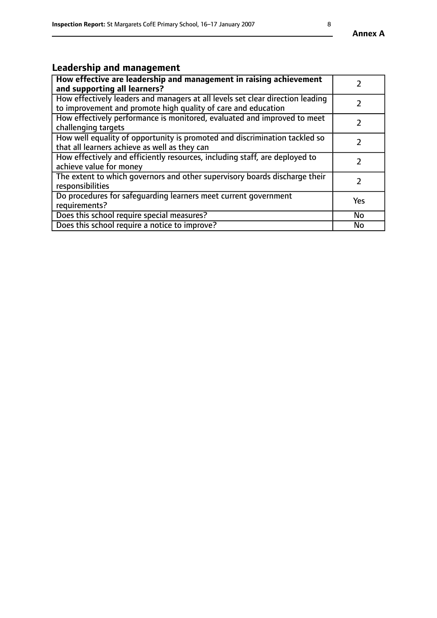# **Leadership and management**

| How effective are leadership and management in raising achievement<br>and supporting all learners?                                              |               |
|-------------------------------------------------------------------------------------------------------------------------------------------------|---------------|
| How effectively leaders and managers at all levels set clear direction leading<br>to improvement and promote high quality of care and education |               |
| How effectively performance is monitored, evaluated and improved to meet<br>challenging targets                                                 | $\mathcal{L}$ |
| How well equality of opportunity is promoted and discrimination tackled so<br>that all learners achieve as well as they can                     |               |
| How effectively and efficiently resources, including staff, are deployed to<br>achieve value for money                                          | $\mathcal{L}$ |
| The extent to which governors and other supervisory boards discharge their<br>responsibilities                                                  |               |
| Do procedures for safequarding learners meet current government<br>requirements?                                                                | Yes           |
| Does this school require special measures?                                                                                                      | No            |
| Does this school require a notice to improve?                                                                                                   | <b>No</b>     |